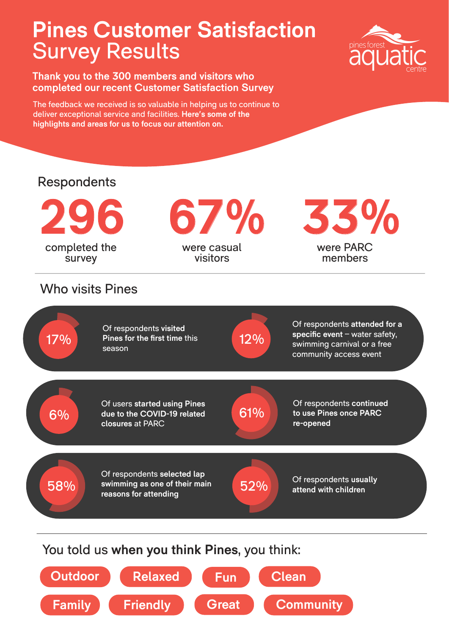## **Pines Customer Satisfaction** Survey Results

**Thank you to the 300 members and visitors who completed our recent Customer Satisfaction Survey**

The feedback we received is so valuable in helping us to continue to deliver exceptional service and facilities. **Here's some of the highlights and areas for us to focus our attention on.** 

**Family**



**Friendly Great**

**Community**